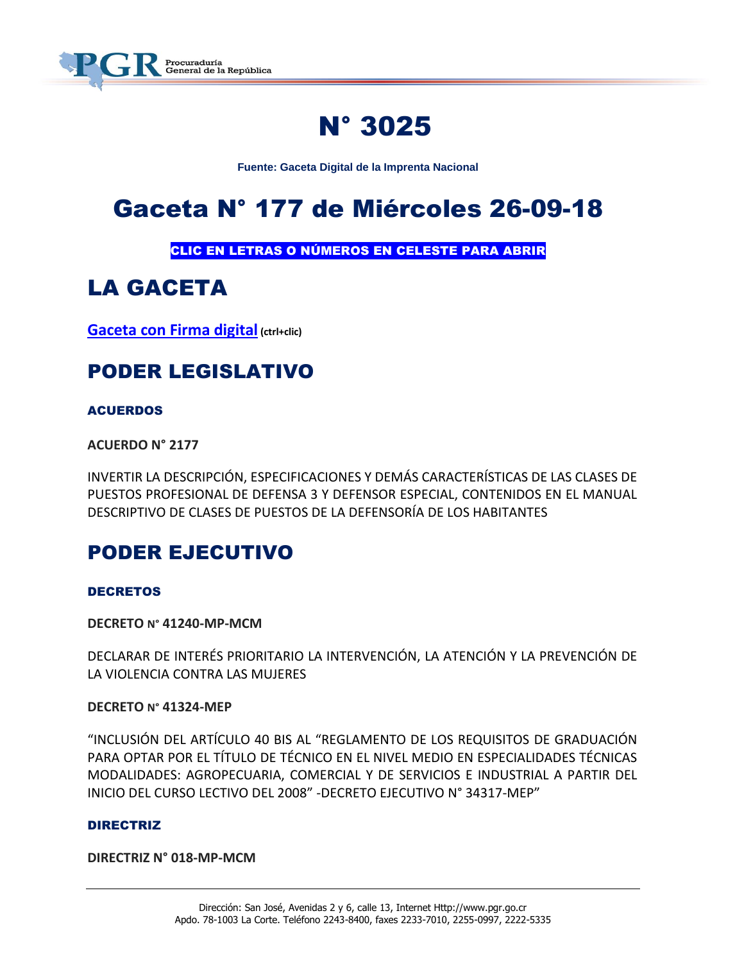

# N° 3025

**Fuente: Gaceta Digital de la Imprenta Nacional**

# Gaceta N° 177 de Miércoles 26-09-18

CLIC EN LETRAS O NÚMEROS EN CELESTE PARA ABRIR

## LA GACETA

**[Gaceta con Firma digital](https://www.imprentanacional.go.cr/pub/2018/09/26/COMP_26_09_2018.pdf) (ctrl+clic)**

### PODER LEGISLATIVO

### **ACUERDOS**

**ACUERDO N° 2177**

INVERTIR LA DESCRIPCIÓN, ESPECIFICACIONES Y DEMÁS CARACTERÍSTICAS DE LAS CLASES DE PUESTOS PROFESIONAL DE DEFENSA 3 Y DEFENSOR ESPECIAL, CONTENIDOS EN EL MANUAL DESCRIPTIVO DE CLASES DE PUESTOS DE LA DEFENSORÍA DE LOS HABITANTES

### PODER EJECUTIVO

#### [DECRETOS](https://www.imprentanacional.go.cr/gaceta/#acuerdos)

**DECRETO N° 41240-MP-MCM**

DECLARAR DE INTERÉS PRIORITARIO LA INTERVENCIÓN, LA ATENCIÓN Y LA PREVENCIÓN DE LA VIOLENCIA CONTRA LAS MUJERES

#### **DECRETO N° 41324-MEP**

"INCLUSIÓN DEL ARTÍCULO 40 BIS AL "REGLAMENTO DE LOS REQUISITOS DE GRADUACIÓN PARA OPTAR POR EL TÍTULO DE TÉCNICO EN EL NIVEL MEDIO EN ESPECIALIDADES TÉCNICAS MODALIDADES: AGROPECUARIA, COMERCIAL Y DE SERVICIOS E INDUSTRIAL A PARTIR DEL INICIO DEL CURSO LECTIVO DEL 2008" -DECRETO EJECUTIVO N° 34317-MEP"

#### DIRECTRIZ

**DIRECTRIZ N° 018-MP-MCM**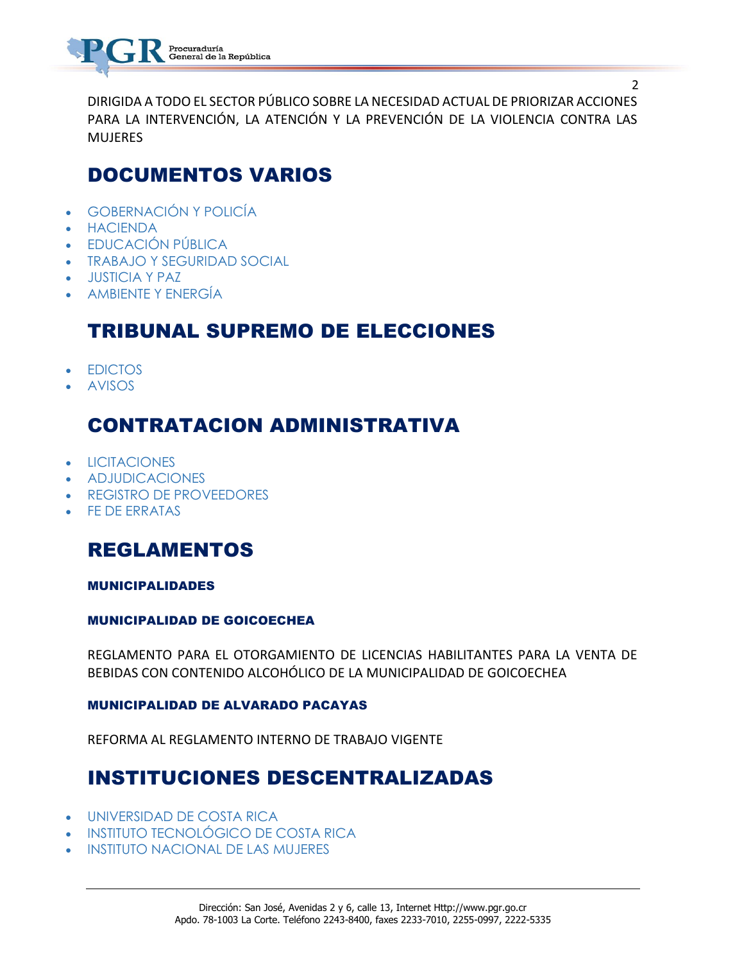

DIRIGIDA A TODO EL SECTOR PÚBLICO SOBRE LA NECESIDAD ACTUAL DE PRIORIZAR ACCIONES PARA LA INTERVENCIÓN, LA ATENCIÓN Y LA PREVENCIÓN DE LA VIOLENCIA CONTRA LAS MUJERES

2

### DOCUMENTOS VARIOS

- [GOBERNACIÓN Y POLICÍA](https://www.imprentanacional.go.cr/gaceta/#gobernacin-y-polica)
- [HACIENDA](https://www.imprentanacional.go.cr/gaceta/#hacienda)
- [EDUCACIÓN PÚBLICA](https://www.imprentanacional.go.cr/gaceta/#educacin-pblica)
- [TRABAJO Y SEGURIDAD SOCIAL](https://www.imprentanacional.go.cr/gaceta/#trabajo-y-seguridad-social)
- [JUSTICIA Y PAZ](https://www.imprentanacional.go.cr/gaceta/#justicia-y-paz)
- [AMBIENTE Y ENERGÍA](https://www.imprentanacional.go.cr/gaceta/#ambiente-y-energa)

### TRIBUNAL SUPREMO DE ELECCIONES

- [EDICTOS](https://www.imprentanacional.go.cr/gaceta/#edictos)
- [AVISOS](https://www.imprentanacional.go.cr/gaceta/#avisos)

### CONTRATACION ADMINISTRATIVA

- **[LICITACIONES](https://www.imprentanacional.go.cr/gaceta/#licitaciones)**
- [ADJUDICACIONES](https://www.imprentanacional.go.cr/gaceta/#adjudicaciones)
- [REGISTRO DE PROVEEDORES](https://www.imprentanacional.go.cr/gaceta/#registro-de-proveedores)
- [FE DE ERRATAS](https://www.imprentanacional.go.cr/gaceta/#fe-de-erratas)

### REGLAMENTOS

#### MUNICIPALIDADES

#### MUNICIPALIDAD DE GOICOECHEA

REGLAMENTO PARA EL OTORGAMIENTO DE LICENCIAS HABILITANTES PARA LA VENTA DE BEBIDAS CON CONTENIDO ALCOHÓLICO DE LA MUNICIPALIDAD DE GOICOECHEA

#### MUNICIPALIDAD DE ALVARADO PACAYAS

REFORMA AL REGLAMENTO INTERNO DE TRABAJO VIGENTE

### INSTITUCIONES DESCENTRALIZADAS

- [UNIVERSIDAD DE COSTA RICA](https://www.imprentanacional.go.cr/gaceta/#universidad-de-costa-rica)
- [INSTITUTO TECNOLÓGICO DE COSTA RICA](https://www.imprentanacional.go.cr/gaceta/#instituto-tecnolgico-de-costarica)
- [INSTITUTO NACIONAL DE LAS MUJERES](https://www.imprentanacional.go.cr/gaceta/#instituto-nacional-de-lasmujeres)